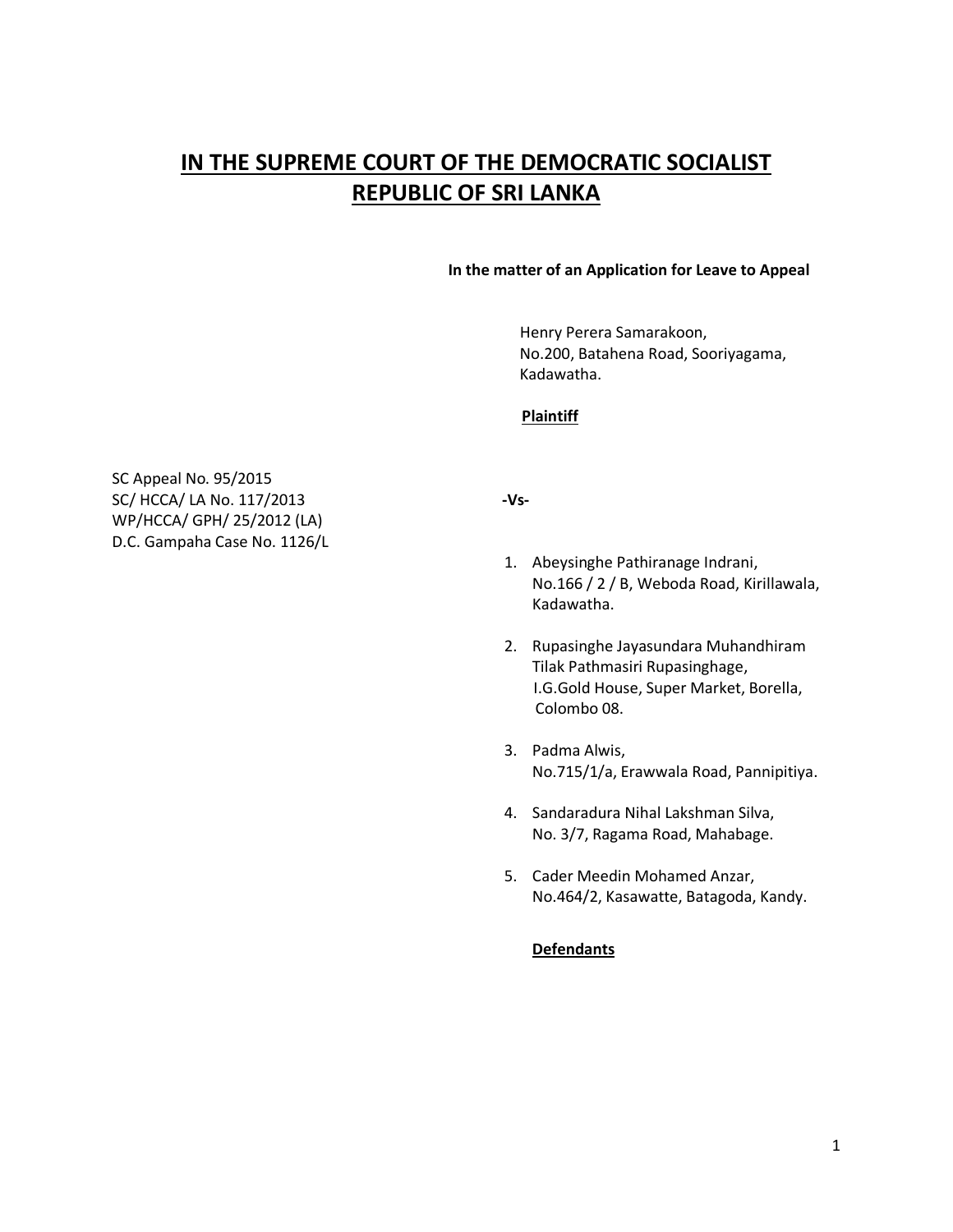# **IN THE SUPREME COURT OF THE DEMOCRATIC SOCIALIST REPUBLIC OF SRI LANKA**

### **In the matter of an Application for Leave to Appeal**

 Henry Perera Samarakoon, No.200, Batahena Road, Sooriyagama, Kadawatha.

# **Plaintiff**

SC Appeal No. 95/2015 SC/ HCCA/ LA No. 117/2013 **-Vs-**WP/HCCA/ GPH/ 25/2012 (LA) D.C. Gampaha Case No. 1126/L

- 1. Abeysinghe Pathiranage Indrani, No.166 / 2 / B, Weboda Road, Kirillawala, Kadawatha.
- 2. Rupasinghe Jayasundara Muhandhiram Tilak Pathmasiri Rupasinghage, I.G.Gold House, Super Market, Borella, Colombo 08.
- 3. Padma Alwis, No.715/1/a, Erawwala Road, Pannipitiya.
- 4. Sandaradura Nihal Lakshman Silva, No. 3/7, Ragama Road, Mahabage.
- 5. Cader Meedin Mohamed Anzar, No.464/2, Kasawatte, Batagoda, Kandy.

# **Defendants**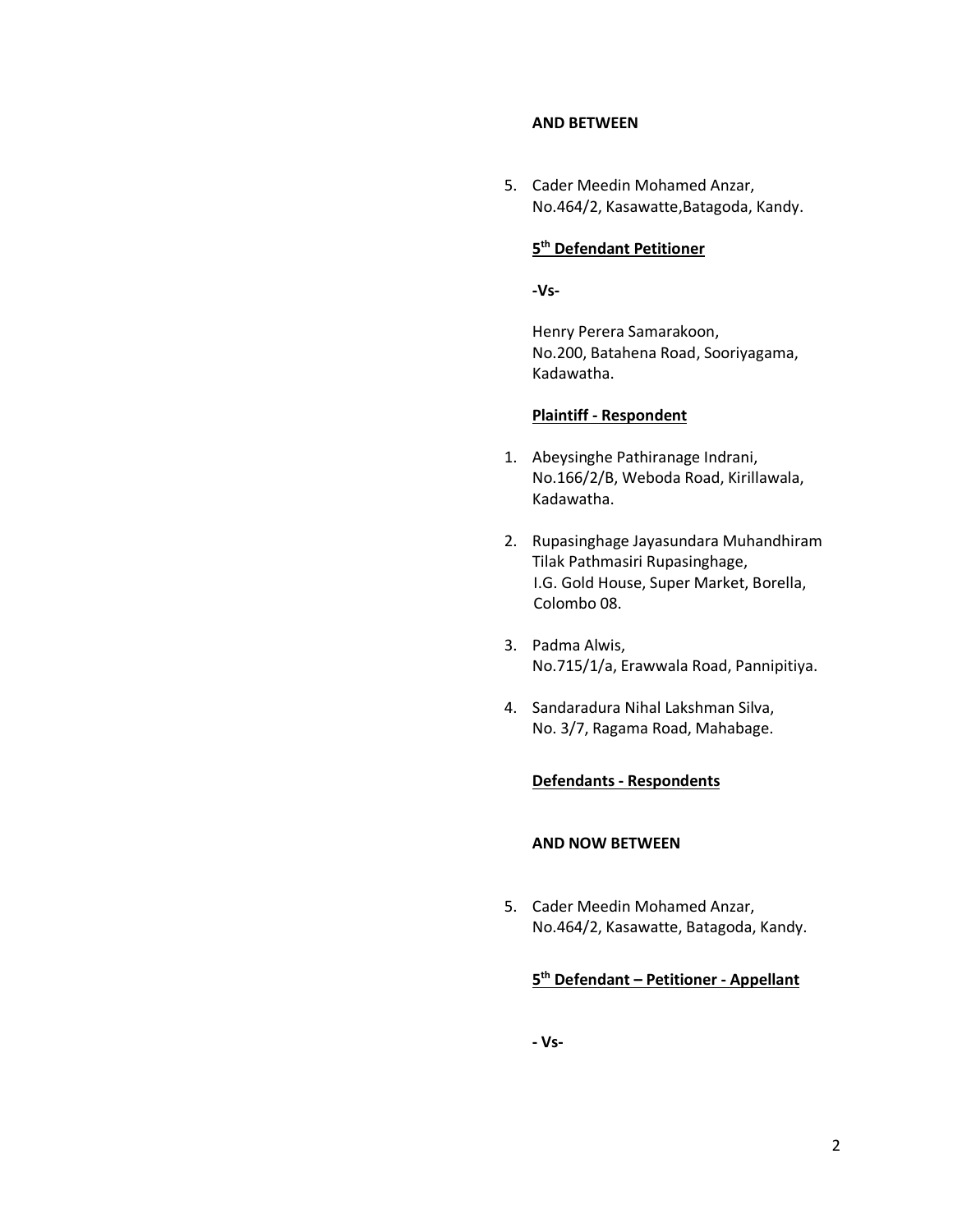#### **AND BETWEEN**

5. Cader Meedin Mohamed Anzar, No.464/2, Kasawatte,Batagoda, Kandy.

# **5 th Defendant Petitioner**

**-Vs-**

Henry Perera Samarakoon, No.200, Batahena Road, Sooriyagama, Kadawatha.

#### **Plaintiff - Respondent**

- 1. Abeysinghe Pathiranage Indrani, No.166/2/B, Weboda Road, Kirillawala, Kadawatha.
- 2. Rupasinghage Jayasundara Muhandhiram Tilak Pathmasiri Rupasinghage, I.G. Gold House, Super Market, Borella, Colombo 08.
- 3. Padma Alwis, No.715/1/a, Erawwala Road, Pannipitiya.
- 4. Sandaradura Nihal Lakshman Silva, No. 3/7, Ragama Road, Mahabage.

#### **Defendants - Respondents**

# **AND NOW BETWEEN**

5. Cader Meedin Mohamed Anzar, No.464/2, Kasawatte, Batagoda, Kandy.

# **5 th Defendant – Petitioner - Appellant**

**- Vs-**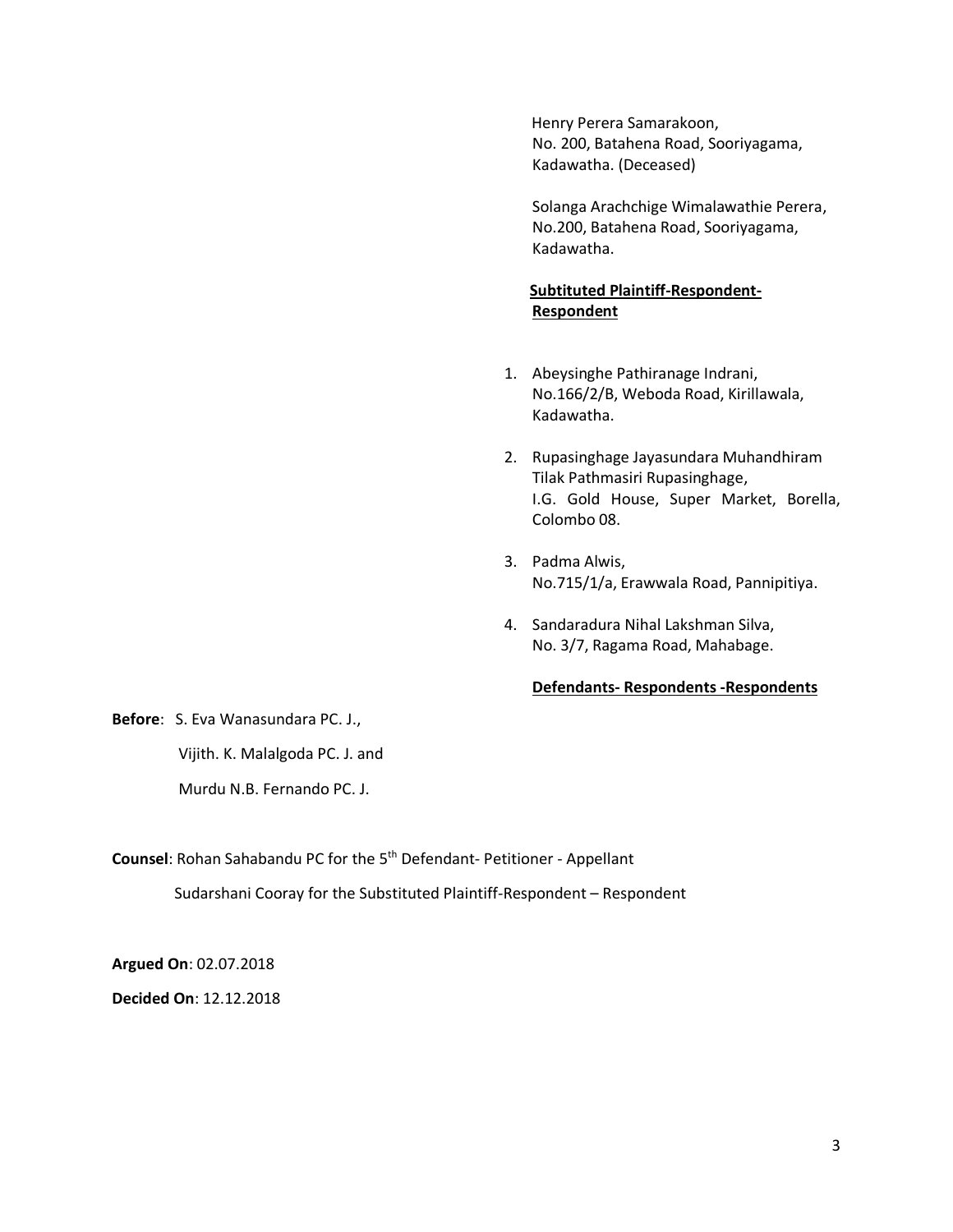Henry Perera Samarakoon, No. 200, Batahena Road, Sooriyagama, Kadawatha. (Deceased)

Solanga Arachchige Wimalawathie Perera, No.200, Batahena Road, Sooriyagama, Kadawatha.

# **Subtituted Plaintiff-Respondent-Respondent**

- 1. Abeysinghe Pathiranage Indrani, No.166/2/B, Weboda Road, Kirillawala, Kadawatha.
- 2. Rupasinghage Jayasundara Muhandhiram Tilak Pathmasiri Rupasinghage, I.G. Gold House, Super Market, Borella, Colombo 08.
- 3. Padma Alwis, No.715/1/a, Erawwala Road, Pannipitiya.
- 4. Sandaradura Nihal Lakshman Silva, No. 3/7, Ragama Road, Mahabage.

### **Defendants- Respondents -Respondents**

**Before**: S. Eva Wanasundara PC. J.,

Vijith. K. Malalgoda PC. J. and

Murdu N.B. Fernando PC. J.

Counsel: Rohan Sahabandu PC for the 5<sup>th</sup> Defendant- Petitioner - Appellant

Sudarshani Cooray for the Substituted Plaintiff-Respondent – Respondent

**Argued On**: 02.07.2018

**Decided On**: 12.12.2018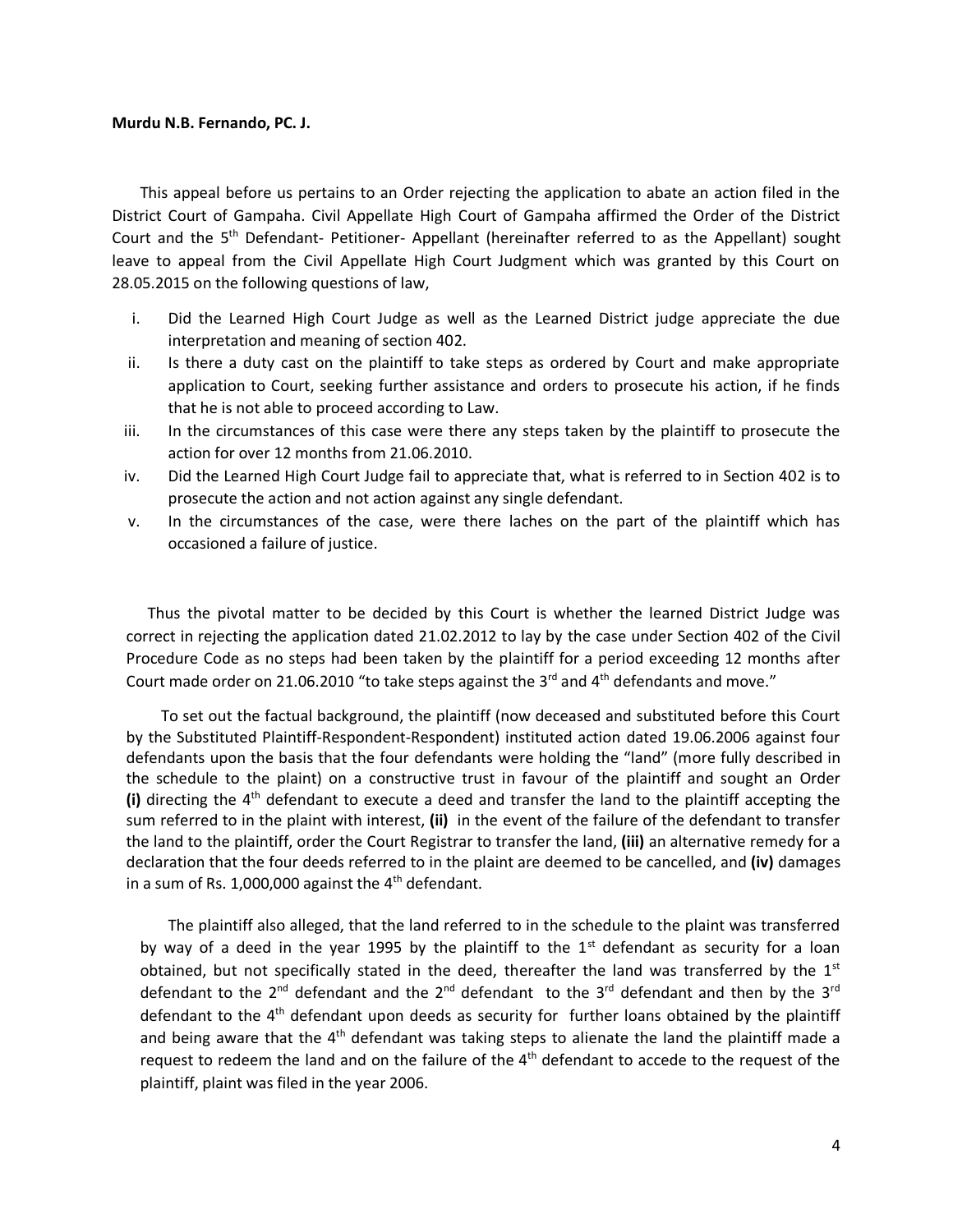### **Murdu N.B. Fernando, PC. J.**

This appeal before us pertains to an Order rejecting the application to abate an action filed in the District Court of Gampaha. Civil Appellate High Court of Gampaha affirmed the Order of the District Court and the 5<sup>th</sup> Defendant- Petitioner- Appellant (hereinafter referred to as the Appellant) sought leave to appeal from the Civil Appellate High Court Judgment which was granted by this Court on 28.05.2015 on the following questions of law,

- i. Did the Learned High Court Judge as well as the Learned District judge appreciate the due interpretation and meaning of section 402.
- ii. Is there a duty cast on the plaintiff to take steps as ordered by Court and make appropriate application to Court, seeking further assistance and orders to prosecute his action, if he finds that he is not able to proceed according to Law.
- iii. In the circumstances of this case were there any steps taken by the plaintiff to prosecute the action for over 12 months from 21.06.2010.
- iv. Did the Learned High Court Judge fail to appreciate that, what is referred to in Section 402 is to prosecute the action and not action against any single defendant.
- v. In the circumstances of the case, were there laches on the part of the plaintiff which has occasioned a failure of justice.

 Thus the pivotal matter to be decided by this Court is whether the learned District Judge was correct in rejecting the application dated 21.02.2012 to lay by the case under Section 402 of the Civil Procedure Code as no steps had been taken by the plaintiff for a period exceeding 12 months after Court made order on 21.06.2010 "to take steps against the  $3<sup>rd</sup>$  and  $4<sup>th</sup>$  defendants and move."

 To set out the factual background, the plaintiff (now deceased and substituted before this Court by the Substituted Plaintiff-Respondent-Respondent) instituted action dated 19.06.2006 against four defendants upon the basis that the four defendants were holding the "land" (more fully described in the schedule to the plaint) on a constructive trust in favour of the plaintiff and sought an Order (i) directing the 4<sup>th</sup> defendant to execute a deed and transfer the land to the plaintiff accepting the sum referred to in the plaint with interest, **(ii)** in the event of the failure of the defendant to transfer the land to the plaintiff, order the Court Registrar to transfer the land, **(iii)** an alternative remedy for a declaration that the four deeds referred to in the plaint are deemed to be cancelled, and **(iv)** damages in a sum of Rs. 1,000,000 against the  $4<sup>th</sup>$  defendant.

The plaintiff also alleged, that the land referred to in the schedule to the plaint was transferred by way of a deed in the year 1995 by the plaintiff to the  $1<sup>st</sup>$  defendant as security for a loan obtained, but not specifically stated in the deed, thereafter the land was transferred by the  $1<sup>st</sup>$ defendant to the 2<sup>nd</sup> defendant and the 2<sup>nd</sup> defendant to the 3<sup>rd</sup> defendant and then by the 3<sup>rd</sup> defendant to the  $4<sup>th</sup>$  defendant upon deeds as security for further loans obtained by the plaintiff and being aware that the  $4<sup>th</sup>$  defendant was taking steps to alienate the land the plaintiff made a request to redeem the land and on the failure of the  $4<sup>th</sup>$  defendant to accede to the request of the plaintiff, plaint was filed in the year 2006.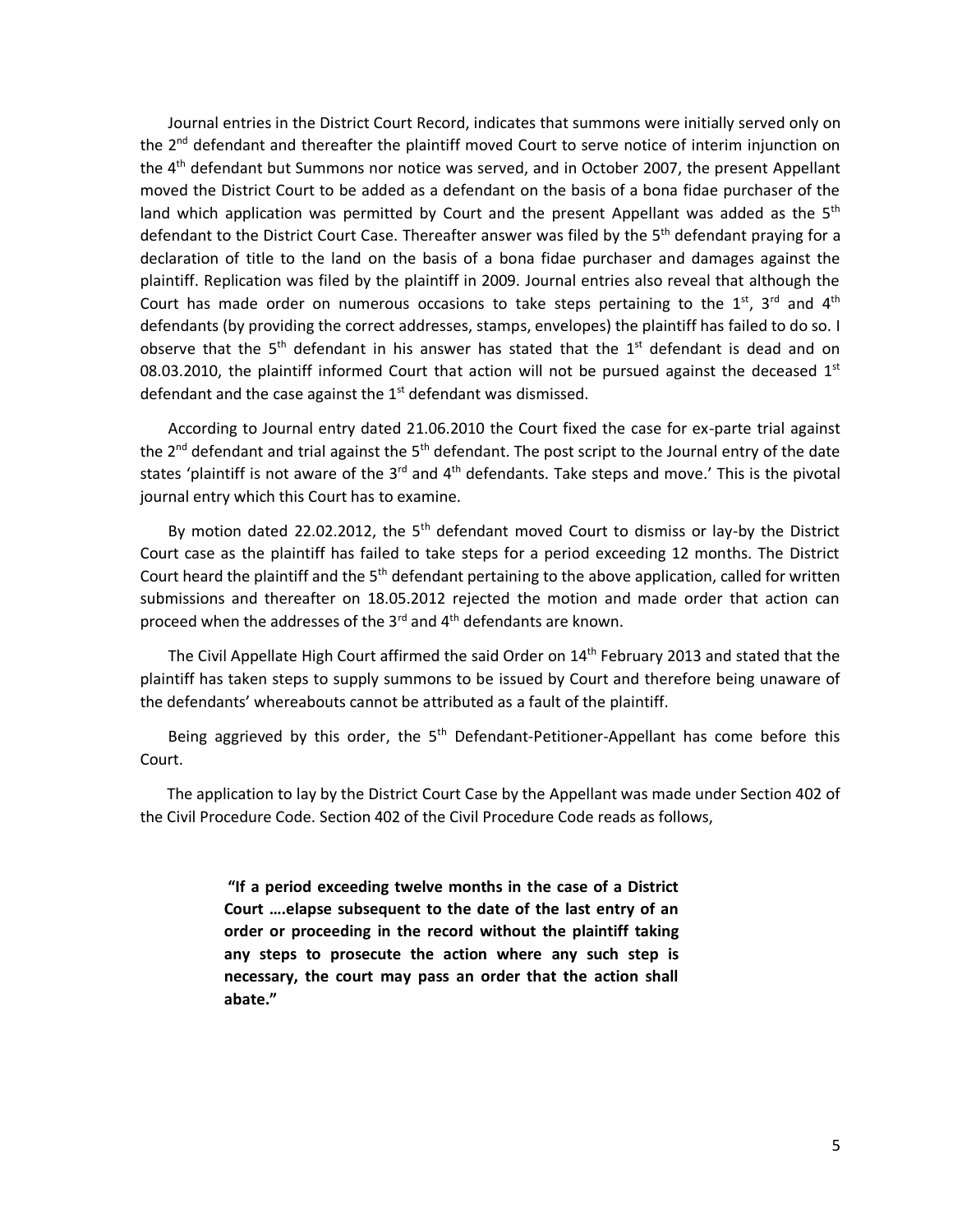Journal entries in the District Court Record, indicates that summons were initially served only on the 2<sup>nd</sup> defendant and thereafter the plaintiff moved Court to serve notice of interim injunction on the 4<sup>th</sup> defendant but Summons nor notice was served, and in October 2007, the present Appellant moved the District Court to be added as a defendant on the basis of a bona fidae purchaser of the land which application was permitted by Court and the present Appellant was added as the  $5<sup>th</sup>$ defendant to the District Court Case. Thereafter answer was filed by the 5<sup>th</sup> defendant praying for a declaration of title to the land on the basis of a bona fidae purchaser and damages against the plaintiff. Replication was filed by the plaintiff in 2009. Journal entries also reveal that although the Court has made order on numerous occasions to take steps pertaining to the  $1^{st}$ ,  $3^{rd}$  and  $4^{th}$ defendants (by providing the correct addresses, stamps, envelopes) the plaintiff has failed to do so. I observe that the  $5<sup>th</sup>$  defendant in his answer has stated that the  $1<sup>st</sup>$  defendant is dead and on 08.03.2010, the plaintiff informed Court that action will not be pursued against the deceased  $1<sup>st</sup>$ defendant and the case against the  $1<sup>st</sup>$  defendant was dismissed.

According to Journal entry dated 21.06.2010 the Court fixed the case for ex-parte trial against the 2<sup>nd</sup> defendant and trial against the 5<sup>th</sup> defendant. The post script to the Journal entry of the date states 'plaintiff is not aware of the  $3<sup>rd</sup>$  and  $4<sup>th</sup>$  defendants. Take steps and move.' This is the pivotal journal entry which this Court has to examine.

By motion dated 22.02.2012, the  $5<sup>th</sup>$  defendant moved Court to dismiss or lay-by the District Court case as the plaintiff has failed to take steps for a period exceeding 12 months. The District Court heard the plaintiff and the  $5<sup>th</sup>$  defendant pertaining to the above application, called for written submissions and thereafter on 18.05.2012 rejected the motion and made order that action can proceed when the addresses of the  $3^{rd}$  and  $4^{th}$  defendants are known.

The Civil Appellate High Court affirmed the said Order on 14<sup>th</sup> February 2013 and stated that the plaintiff has taken steps to supply summons to be issued by Court and therefore being unaware of the defendants' whereabouts cannot be attributed as a fault of the plaintiff.

Being aggrieved by this order, the  $5<sup>th</sup>$  Defendant-Petitioner-Appellant has come before this Court.

 The application to lay by the District Court Case by the Appellant was made under Section 402 of the Civil Procedure Code. Section 402 of the Civil Procedure Code reads as follows,

> **"If a period exceeding twelve months in the case of a District Court ….elapse subsequent to the date of the last entry of an order or proceeding in the record without the plaintiff taking any steps to prosecute the action where any such step is necessary, the court may pass an order that the action shall abate."**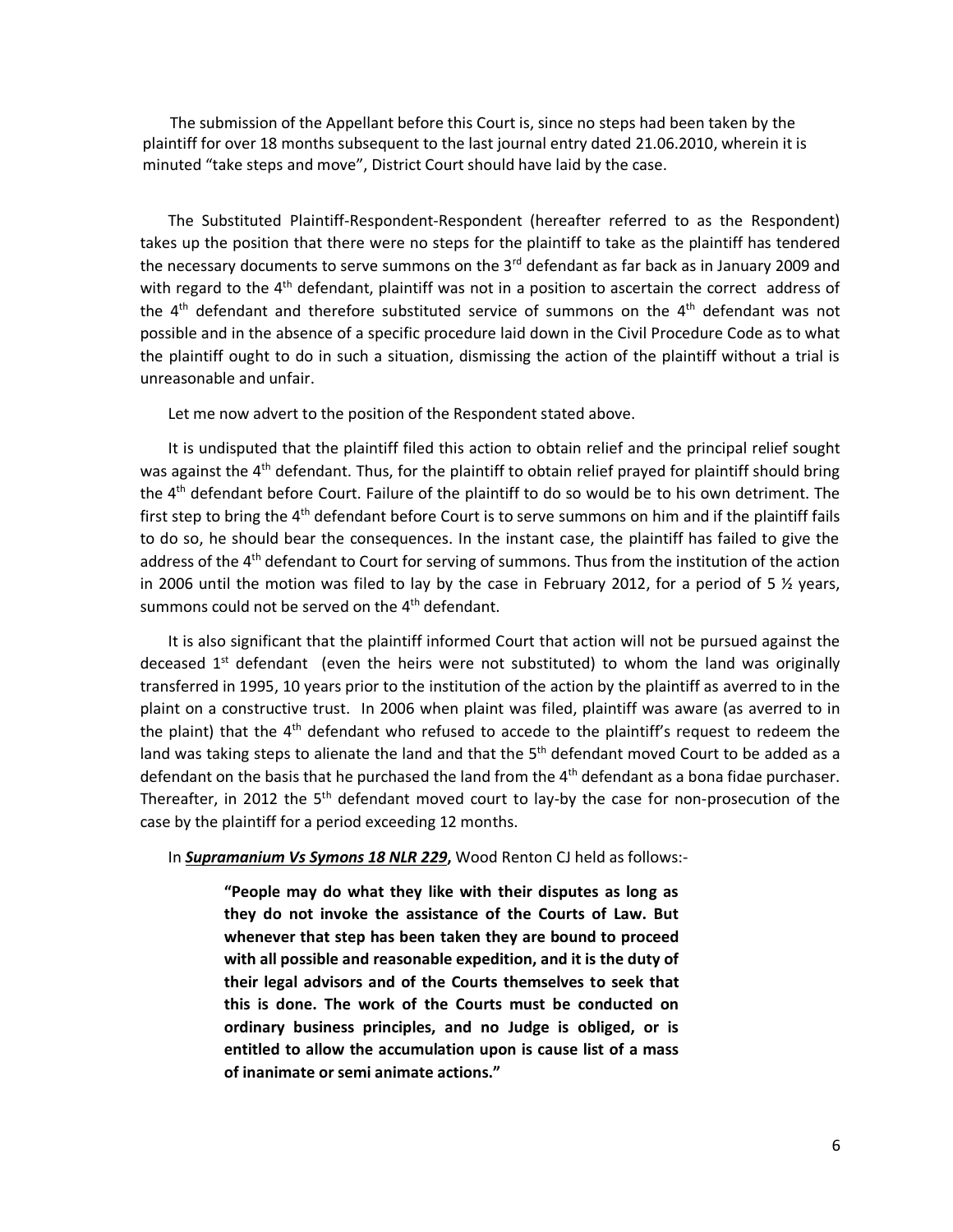The submission of the Appellant before this Court is, since no steps had been taken by the plaintiff for over 18 months subsequent to the last journal entry dated 21.06.2010, wherein it is minuted "take steps and move", District Court should have laid by the case.

The Substituted Plaintiff-Respondent-Respondent (hereafter referred to as the Respondent) takes up the position that there were no steps for the plaintiff to take as the plaintiff has tendered the necessary documents to serve summons on the  $3<sup>rd</sup>$  defendant as far back as in January 2009 and with regard to the 4<sup>th</sup> defendant, plaintiff was not in a position to ascertain the correct address of the  $4<sup>th</sup>$  defendant and therefore substituted service of summons on the  $4<sup>th</sup>$  defendant was not possible and in the absence of a specific procedure laid down in the Civil Procedure Code as to what the plaintiff ought to do in such a situation, dismissing the action of the plaintiff without a trial is unreasonable and unfair.

Let me now advert to the position of the Respondent stated above.

It is undisputed that the plaintiff filed this action to obtain relief and the principal relief sought was against the  $4<sup>th</sup>$  defendant. Thus, for the plaintiff to obtain relief prayed for plaintiff should bring the 4<sup>th</sup> defendant before Court. Failure of the plaintiff to do so would be to his own detriment. The first step to bring the  $4<sup>th</sup>$  defendant before Court is to serve summons on him and if the plaintiff fails to do so, he should bear the consequences. In the instant case, the plaintiff has failed to give the address of the 4<sup>th</sup> defendant to Court for serving of summons. Thus from the institution of the action in 2006 until the motion was filed to lay by the case in February 2012, for a period of 5 ½ years, summons could not be served on the 4<sup>th</sup> defendant.

It is also significant that the plaintiff informed Court that action will not be pursued against the deceased 1<sup>st</sup> defendant (even the heirs were not substituted) to whom the land was originally transferred in 1995, 10 years prior to the institution of the action by the plaintiff as averred to in the plaint on a constructive trust. In 2006 when plaint was filed, plaintiff was aware (as averred to in the plaint) that the  $4<sup>th</sup>$  defendant who refused to accede to the plaintiff's request to redeem the land was taking steps to alienate the land and that the  $5<sup>th</sup>$  defendant moved Court to be added as a defendant on the basis that he purchased the land from the 4<sup>th</sup> defendant as a bona fidae purchaser. Thereafter, in 2012 the 5<sup>th</sup> defendant moved court to lay-by the case for non-prosecution of the case by the plaintiff for a period exceeding 12 months.

In *Supramanium Vs Symons 18 NLR 229***,** Wood Renton CJ held as follows:-

**"People may do what they like with their disputes as long as they do not invoke the assistance of the Courts of Law. But whenever that step has been taken they are bound to proceed with all possible and reasonable expedition, and it is the duty of their legal advisors and of the Courts themselves to seek that this is done. The work of the Courts must be conducted on ordinary business principles, and no Judge is obliged, or is entitled to allow the accumulation upon is cause list of a mass of inanimate or semi animate actions."**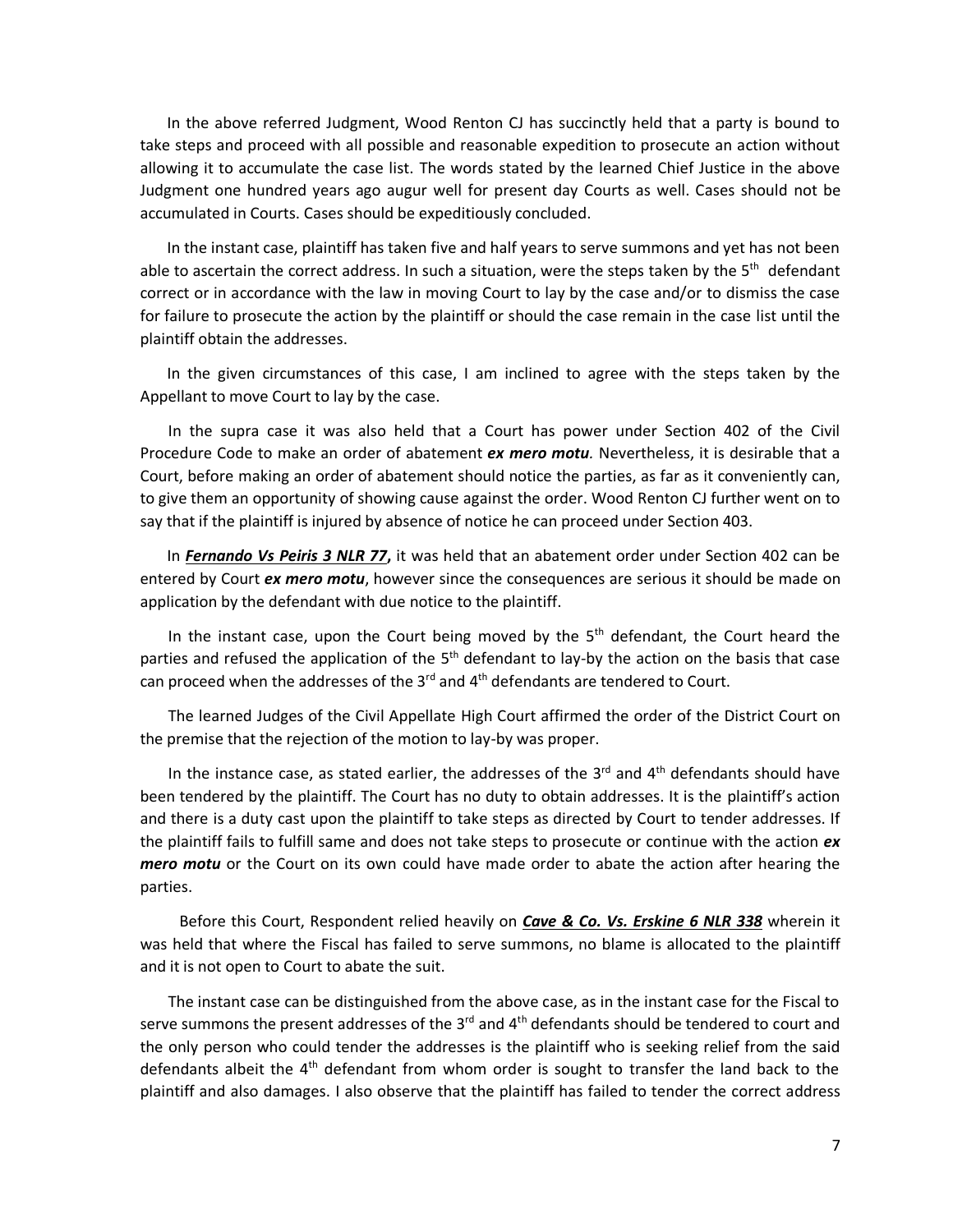In the above referred Judgment, Wood Renton CJ has succinctly held that a party is bound to take steps and proceed with all possible and reasonable expedition to prosecute an action without allowing it to accumulate the case list. The words stated by the learned Chief Justice in the above Judgment one hundred years ago augur well for present day Courts as well. Cases should not be accumulated in Courts. Cases should be expeditiously concluded.

 In the instant case, plaintiff has taken five and half years to serve summons and yet has not been able to ascertain the correct address. In such a situation, were the steps taken by the 5<sup>th</sup> defendant correct or in accordance with the law in moving Court to lay by the case and/or to dismiss the case for failure to prosecute the action by the plaintiff or should the case remain in the case list until the plaintiff obtain the addresses.

 In the given circumstances of this case, I am inclined to agree with the steps taken by the Appellant to move Court to lay by the case.

In the supra case it was also held that a Court has power under Section 402 of the Civil Procedure Code to make an order of abatement *ex mero motu.* Nevertheless, it is desirable that a Court, before making an order of abatement should notice the parties, as far as it conveniently can, to give them an opportunity of showing cause against the order. Wood Renton CJ further went on to say that if the plaintiff is injured by absence of notice he can proceed under Section 403.

 In *Fernando Vs Peiris 3 NLR 77***,** it was held that an abatement order under Section 402 can be entered by Court *ex mero motu*, however since the consequences are serious it should be made on application by the defendant with due notice to the plaintiff.

In the instant case, upon the Court being moved by the  $5<sup>th</sup>$  defendant, the Court heard the parties and refused the application of the 5<sup>th</sup> defendant to lay-by the action on the basis that case can proceed when the addresses of the  $3<sup>rd</sup>$  and  $4<sup>th</sup>$  defendants are tendered to Court.

The learned Judges of the Civil Appellate High Court affirmed the order of the District Court on the premise that the rejection of the motion to lay-by was proper.

In the instance case, as stated earlier, the addresses of the  $3<sup>rd</sup>$  and  $4<sup>th</sup>$  defendants should have been tendered by the plaintiff. The Court has no duty to obtain addresses. It is the plaintiff's action and there is a duty cast upon the plaintiff to take steps as directed by Court to tender addresses. If the plaintiff fails to fulfill same and does not take steps to prosecute or continue with the action *ex mero motu* or the Court on its own could have made order to abate the action after hearing the parties.

 Before this Court, Respondent relied heavily on *Cave & Co. Vs. Erskine 6 NLR 338* wherein it was held that where the Fiscal has failed to serve summons, no blame is allocated to the plaintiff and it is not open to Court to abate the suit.

The instant case can be distinguished from the above case, as in the instant case for the Fiscal to serve summons the present addresses of the  $3<sup>rd</sup>$  and  $4<sup>th</sup>$  defendants should be tendered to court and the only person who could tender the addresses is the plaintiff who is seeking relief from the said defendants albeit the  $4<sup>th</sup>$  defendant from whom order is sought to transfer the land back to the plaintiff and also damages. I also observe that the plaintiff has failed to tender the correct address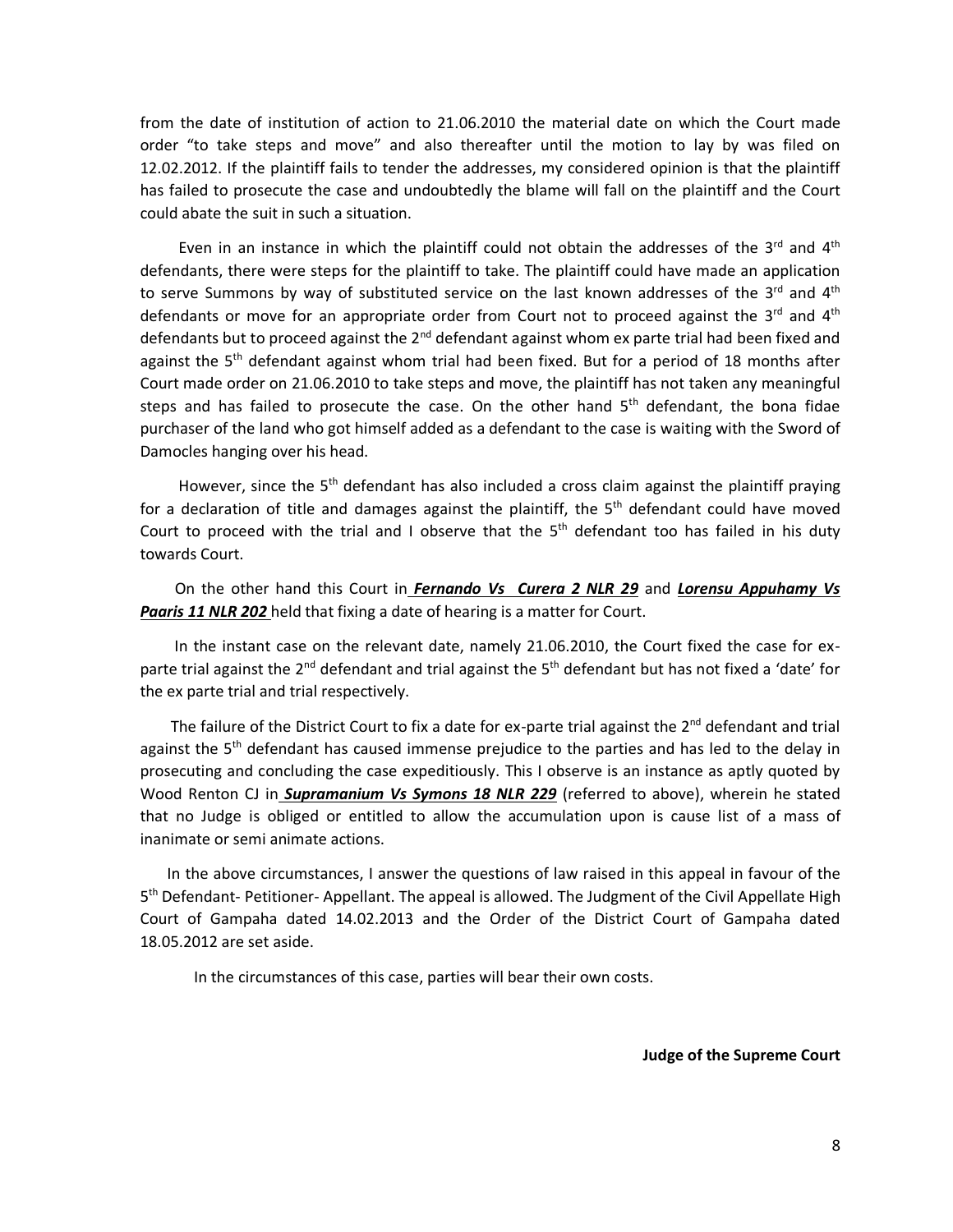from the date of institution of action to 21.06.2010 the material date on which the Court made order "to take steps and move" and also thereafter until the motion to lay by was filed on 12.02.2012. If the plaintiff fails to tender the addresses, my considered opinion is that the plaintiff has failed to prosecute the case and undoubtedly the blame will fall on the plaintiff and the Court could abate the suit in such a situation.

Even in an instance in which the plaintiff could not obtain the addresses of the  $3^{rd}$  and  $4^{th}$ defendants, there were steps for the plaintiff to take. The plaintiff could have made an application to serve Summons by way of substituted service on the last known addresses of the 3<sup>rd</sup> and 4<sup>th</sup> defendants or move for an appropriate order from Court not to proceed against the 3<sup>rd</sup> and 4<sup>th</sup> defendants but to proceed against the  $2^{nd}$  defendant against whom ex parte trial had been fixed and against the  $5<sup>th</sup>$  defendant against whom trial had been fixed. But for a period of 18 months after Court made order on 21.06.2010 to take steps and move, the plaintiff has not taken any meaningful steps and has failed to prosecute the case. On the other hand  $5<sup>th</sup>$  defendant, the bona fidae purchaser of the land who got himself added as a defendant to the case is waiting with the Sword of Damocles hanging over his head.

However, since the  $5<sup>th</sup>$  defendant has also included a cross claim against the plaintiff praying for a declaration of title and damages against the plaintiff, the 5<sup>th</sup> defendant could have moved Court to proceed with the trial and I observe that the  $5<sup>th</sup>$  defendant too has failed in his duty towards Court.

 On the other hand this Court in *Fernando Vs Curera 2 NLR 29* and *Lorensu Appuhamy Vs Paaris 11 NLR 202* held that fixing a date of hearing is a matter for Court.

 In the instant case on the relevant date, namely 21.06.2010, the Court fixed the case for exparte trial against the  $2^{nd}$  defendant and trial against the  $5^{th}$  defendant but has not fixed a 'date' for the ex parte trial and trial respectively.

The failure of the District Court to fix a date for ex-parte trial against the  $2^{nd}$  defendant and trial against the  $5<sup>th</sup>$  defendant has caused immense prejudice to the parties and has led to the delay in prosecuting and concluding the case expeditiously. This I observe is an instance as aptly quoted by Wood Renton CJ in *Supramanium Vs Symons 18 NLR 229* (referred to above), wherein he stated that no Judge is obliged or entitled to allow the accumulation upon is cause list of a mass of inanimate or semi animate actions.

 In the above circumstances, I answer the questions of law raised in this appeal in favour of the 5<sup>th</sup> Defendant- Petitioner- Appellant. The appeal is allowed. The Judgment of the Civil Appellate High Court of Gampaha dated 14.02.2013 and the Order of the District Court of Gampaha dated 18.05.2012 are set aside.

In the circumstances of this case, parties will bear their own costs.

**Judge of the Supreme Court**